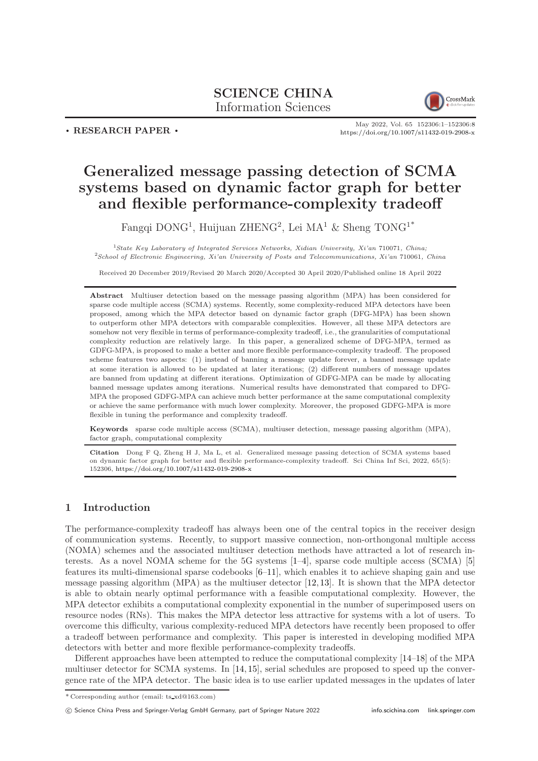# SCIENCE CHINA Information Sciences



. RESEARCH PAPER .

May 2022, Vol. 65 152306:1–152306[:8](#page-7-0) <https://doi.org/10.1007/s11432-019-2908-x>

# Generalized message passing detection of SCMA systems based on dynamic factor graph for better and flexible performance-complexity tradeoff

Fangqi DONG<sup>1</sup>, Huijuan ZHENG<sup>2</sup>, Lei MA<sup>1</sup> & Sheng TONG<sup>1\*</sup>

<sup>1</sup>State Key Laboratory of Integrated Services Networks, Xidian University, Xi'an 710071, China; <sup>2</sup>School of Electronic Engineering, Xi'an University of Posts and Telecommunications, Xi'an 710061, China

Received 20 December 2019/Revised 20 March 2020/Accepted 30 April 2020/Published online 18 April 2022

Abstract Multiuser detection based on the message passing algorithm (MPA) has been considered for sparse code multiple access (SCMA) systems. Recently, some complexity-reduced MPA detectors have been proposed, among which the MPA detector based on dynamic factor graph (DFG-MPA) has been shown to outperform other MPA detectors with comparable complexities. However, all these MPA detectors are somehow not very flexible in terms of performance-complexity tradeoff, i.e., the granularities of computational complexity reduction are relatively large. In this paper, a generalized scheme of DFG-MPA, termed as GDFG-MPA, is proposed to make a better and more flexible performance-complexity tradeoff. The proposed scheme features two aspects: (1) instead of banning a message update forever, a banned message update at some iteration is allowed to be updated at later iterations; (2) different numbers of message updates are banned from updating at different iterations. Optimization of GDFG-MPA can be made by allocating banned message updates among iterations. Numerical results have demonstrated that compared to DFG-MPA the proposed GDFG-MPA can achieve much better performance at the same computational complexity or achieve the same performance with much lower complexity. Moreover, the proposed GDFG-MPA is more flexible in tuning the performance and complexity tradeoff.

Keywords sparse code multiple access (SCMA), multiuser detection, message passing algorithm (MPA), factor graph, computational complexity

Citation Dong F Q, Zheng H J, Ma L, et al. Generalized message passing detection of SCMA systems based on dynamic factor graph for better and flexible performance-complexity tradeoff. Sci China Inf Sci, 2022, 65(5): 152306, <https://doi.org/10.1007/s11432-019-2908-x>

# 1 Introduction

The performance-complexity tradeoff has always been one of the central topics in the receiver design of communication systems. Recently, to support massive connection, non-orthongonal multiple access (NOMA) schemes and the associated multiuser detection methods have attracted a lot of research interests. As a novel NOMA scheme for the 5G systems [\[1](#page-6-0)[–4\]](#page-6-1), sparse code multiple access (SCMA) [\[5\]](#page-6-2) features its multi-dimensional sparse codebooks [\[6](#page-6-3)[–11\]](#page-6-4), which enables it to achieve shaping gain and use message passing algorithm (MPA) as the multiuser detector [\[12,](#page-7-1) [13\]](#page-7-2). It is shown that the MPA detector is able to obtain nearly optimal performance with a feasible computational complexity. However, the MPA detector exhibits a computational complexity exponential in the number of superimposed users on resource nodes (RNs). This makes the MPA detector less attractive for systems with a lot of users. To overcome this difficulty, various complexity-reduced MPA detectors have recently been proposed to offer a tradeoff between performance and complexity. This paper is interested in developing modified MPA detectors with better and more flexible performance-complexity tradeoffs.

Different approaches have been attempted to reduce the computational complexity [\[14](#page-7-3)[–18\]](#page-7-4) of the MPA multiuser detector for SCMA systems. In [\[14,](#page-7-3) [15\]](#page-7-5), serial schedules are proposed to speed up the convergence rate of the MPA detector. The basic idea is to use earlier updated messages in the updates of later

c Science China Press and Springer-Verlag GmbH Germany, part of Springer Nature 2022 <info.scichina.com><link.springer.com>

<sup>\*</sup> Corresponding author (email: ts xd@163.com)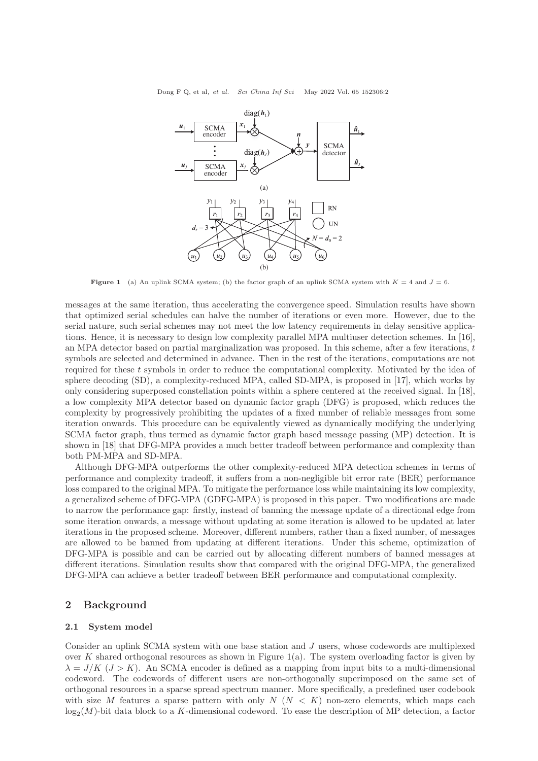<span id="page-1-0"></span>Dong F Q, et al, et al. Sci China Inf Sci May 2022 Vol. 65 152306:2



**Figure 1** (a) An uplink SCMA system; (b) the factor graph of an uplink SCMA system with  $K = 4$  and  $J = 6$ .

messages at the same iteration, thus accelerating the convergence speed. Simulation results have shown that optimized serial schedules can halve the number of iterations or even more. However, due to the serial nature, such serial schemes may not meet the low latency requirements in delay sensitive applications. Hence, it is necessary to design low complexity parallel MPA multiuser detection schemes. In [\[16\]](#page-7-6), an MPA detector based on partial marginalization was proposed. In this scheme, after a few iterations, t symbols are selected and determined in advance. Then in the rest of the iterations, computations are not required for these t symbols in order to reduce the computational complexity. Motivated by the idea of sphere decoding (SD), a complexity-reduced MPA, called SD-MPA, is proposed in [\[17\]](#page-7-7), which works by only considering superposed constellation points within a sphere centered at the received signal. In [\[18\]](#page-7-4), a low complexity MPA detector based on dynamic factor graph (DFG) is proposed, which reduces the complexity by progressively prohibiting the updates of a fixed number of reliable messages from some iteration onwards. This procedure can be equivalently viewed as dynamically modifying the underlying SCMA factor graph, thus termed as dynamic factor graph based message passing (MP) detection. It is shown in [\[18\]](#page-7-4) that DFG-MPA provides a much better tradeoff between performance and complexity than both PM-MPA and SD-MPA.

Although DFG-MPA outperforms the other complexity-reduced MPA detection schemes in terms of performance and complexity tradeoff, it suffers from a non-negligible bit error rate (BER) performance loss compared to the original MPA. To mitigate the performance loss while maintaining its low complexity, a generalized scheme of DFG-MPA (GDFG-MPA) is proposed in this paper. Two modifications are made to narrow the performance gap: firstly, instead of banning the message update of a directional edge from some iteration onwards, a message without updating at some iteration is allowed to be updated at later iterations in the proposed scheme. Moreover, different numbers, rather than a fixed number, of messages are allowed to be banned from updating at different iterations. Under this scheme, optimization of DFG-MPA is possible and can be carried out by allocating different numbers of banned messages at different iterations. Simulation results show that compared with the original DFG-MPA, the generalized DFG-MPA can achieve a better tradeoff between BER performance and computational complexity.

## 2 Background

#### 2.1 System model

Consider an uplink SCMA system with one base station and J users, whose codewords are multiplexed over K shared orthogonal resources as shown in Figure [1\(](#page-1-0)a). The system overloading factor is given by  $\lambda = J/K$  ( $J > K$ ). An SCMA encoder is defined as a mapping from input bits to a multi-dimensional codeword. The codewords of different users are non-orthogonally superimposed on the same set of orthogonal resources in a sparse spread spectrum manner. More specifically, a predefined user codebook with size M features a sparse pattern with only  $N$  ( $N < K$ ) non-zero elements, which maps each  $\log_2(M)$ -bit data block to a K-dimensional codeword. To ease the description of MP detection, a factor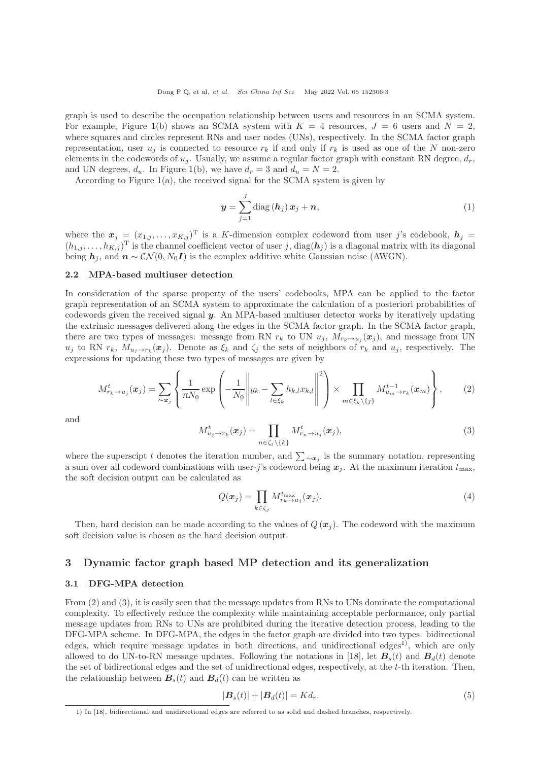graph is used to describe the occupation relationship between users and resources in an SCMA system. For example, Figure [1\(](#page-1-0)b) shows an SCMA system with  $K = 4$  resources,  $J = 6$  users and  $N = 2$ , where squares and circles represent RNs and user nodes (UNs), respectively. In the SCMA factor graph representation, user  $u_i$  is connected to resource  $r_k$  if and only if  $r_k$  is used as one of the N non-zero elements in the codewords of  $u_i$ . Usually, we assume a regular factor graph with constant RN degree,  $d_r$ , and UN degrees,  $d_u$ . In Figure [1\(](#page-1-0)b), we have  $d_r = 3$  and  $d_u = N = 2$ .

According to Figure  $1(a)$  $1(a)$ , the received signal for the SCMA system is given by

$$
\boldsymbol{y} = \sum_{j=1}^{J} \text{diag}(\boldsymbol{h}_j) \, \boldsymbol{x}_j + \boldsymbol{n}, \tag{1}
$$

where the  $x_j = (x_{1,j}, \ldots, x_{K,j})^T$  is a K-dimension complex codeword from user j's codebook,  $h_j =$  $(h_{1,j},\ldots,h_{K,j})^{\mathrm{T}}$  is the channel coefficient vector of user j,  $\text{diag}(\boldsymbol{h}_j)$  is a diagonal matrix with its diagonal being  $h_i$ , and  $n \sim \mathcal{CN}(0, N_0 I)$  is the complex additive white Gaussian noise (AWGN).

#### 2.2 MPA-based multiuser detection

In consideration of the sparse property of the users' codebooks, MPA can be applied to the factor graph representation of an SCMA system to approximate the calculation of a posteriori probabilities of codewords given the received signal y. An MPA-based multiuser detector works by iteratively updating the extrinsic messages delivered along the edges in the SCMA factor graph. In the SCMA factor graph, there are two types of messages: message from RN  $r_k$  to UN  $u_j$ ,  $M_{r_k\to u_j}(\mathbf{x}_j)$ , and message from UN  $u_j$  to RN  $r_k$ ,  $M_{u_j \to r_k}(\mathbf{x}_j)$ . Denote as  $\xi_k$  and  $\zeta_j$  the sets of neighbors of  $r_k$  and  $u_j$ , respectively. The expressions for updating these two types of messages are given by

$$
M_{r_k \to u_j}^t(\boldsymbol{x}_j) = \sum_{\sim \boldsymbol{x}_j} \left\{ \frac{1}{\pi N_0} \exp\left(-\frac{1}{N_0} \left\| y_k - \sum_{l \in \xi_k} h_{k,l} x_{k,l} \right\|^2 \right) \times \prod_{m \in \xi_k \setminus \{j\}} M_{u_m \to r_k}^{t-1}(\boldsymbol{x}_m) \right\},\tag{2}
$$

and

$$
M_{u_j \to r_k}^t(\boldsymbol{x}_j) = \prod_{n \in \zeta_j \setminus \{k\}} M_{r_n \to u_j}^t(\boldsymbol{x}_j),\tag{3}
$$

where the superscipt t denotes the iteration number, and  $\sum_{\alpha} \infty_i$  is the summary notation, representing a sum over all codeword combinations with user-j's codeword being  $x_j$ . At the maximum iteration  $t_{\text{max}}$ , the soft decision output can be calculated as

$$
Q(\boldsymbol{x}_j) = \prod_{k \in \zeta_j} M_{r_k \to u_j}^{t_{\text{max}}}(\boldsymbol{x}_j). \tag{4}
$$

Then, hard decision can be made according to the values of  $Q(\mathbf{x}_i)$ . The codeword with the maximum soft decision value is chosen as the hard decision output.

## 3 Dynamic factor graph based MP detection and its generalization

#### 3.1 DFG-MPA detection

From (2) and (3), it is easily seen that the message updates from RNs to UNs dominate the computational complexity. To effectively reduce the complexity while maintaining acceptable performance, only partial message updates from RNs to UNs are prohibited during the iterative detection process, leading to the DFG-MPA scheme. In DFG-MPA, the edges in the factor graph are divided into two types: bidirectional edges, which require message updates in both directions, and unidirectional edges<sup>1)</sup>, which are only allowed to do UN-to-RN message updates. Following the notations in [\[18\]](#page-7-4), let  $B_s(t)$  and  $B_d(t)$  denote the set of bidirectional edges and the set of unidirectional edges, respectively, at the t-th iteration. Then, the relationship between  $B_s(t)$  and  $B_d(t)$  can be written as

$$
|\boldsymbol{B}_s(t)| + |\boldsymbol{B}_d(t)| = K d_r. \tag{5}
$$

<sup>1)</sup> In [\[18\]](#page-7-4), bidirectional and unidirectional edges are referred to as solid and dashed branches, respectively.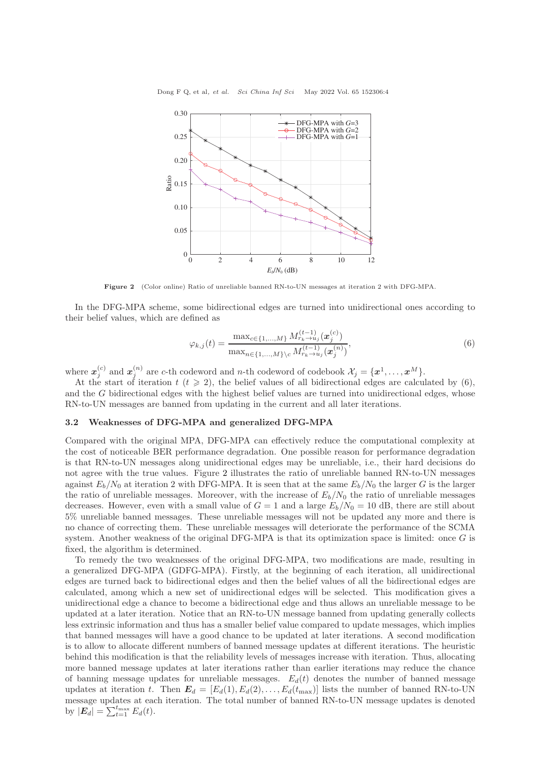<span id="page-3-0"></span>

Figure 2 (Color online) Ratio of unreliable banned RN-to-UN messages at iteration 2 with DFG-MPA.

In the DFG-MPA scheme, some bidirectional edges are turned into unidirectional ones according to their belief values, which are defined as

$$
\varphi_{k,j}(t) = \frac{\max_{c \in \{1, ..., M\}} M_{r_k \to u_j}^{(t-1)}(\boldsymbol{x}_j^{(c)})}{\max_{n \in \{1, ..., M\} \backslash c} M_{r_k \to u_j}^{(t-1)}(\boldsymbol{x}_j^{(n)})},\tag{6}
$$

where  $\boldsymbol{x}_j^{(c)}$  and  $\boldsymbol{x}_j^{(n)}$  are c-th codeword and n-th codeword of codebook  $\mathcal{X}_j = \{\boldsymbol{x}^1,\ldots,\boldsymbol{x}^M\}$ .

At the start of iteration  $t$   $(t \geq 2)$ , the belief values of all bidirectional edges are calculated by  $(6)$ , and the G bidirectional edges with the highest belief values are turned into unidirectional edges, whose RN-to-UN messages are banned from updating in the current and all later iterations.

#### 3.2 Weaknesses of DFG-MPA and generalized DFG-MPA

Compared with the original MPA, DFG-MPA can effectively reduce the computational complexity at the cost of noticeable BER performance degradation. One possible reason for performance degradation is that RN-to-UN messages along unidirectional edges may be unreliable, i.e., their hard decisions do not agree with the true values. Figure [2](#page-3-0) illustrates the ratio of unreliable banned RN-to-UN messages against  $E_b/N_0$  at iteration 2 with DFG-MPA. It is seen that at the same  $E_b/N_0$  the larger G is the larger the ratio of unreliable messages. Moreover, with the increase of  $E_b/N_0$  the ratio of unreliable messages decreases. However, even with a small value of  $G = 1$  and a large  $E_b/N_0 = 10$  dB, there are still about 5% unreliable banned messages. These unreliable messages will not be updated any more and there is no chance of correcting them. These unreliable messages will deteriorate the performance of the SCMA system. Another weakness of the original DFG-MPA is that its optimization space is limited: once G is fixed, the algorithm is determined.

To remedy the two weaknesses of the original DFG-MPA, two modifications are made, resulting in a generalized DFG-MPA (GDFG-MPA). Firstly, at the beginning of each iteration, all unidirectional edges are turned back to bidirectional edges and then the belief values of all the bidirectional edges are calculated, among which a new set of unidirectional edges will be selected. This modification gives a unidirectional edge a chance to become a bidirectional edge and thus allows an unreliable message to be updated at a later iteration. Notice that an RN-to-UN message banned from updating generally collects less extrinsic information and thus has a smaller belief value compared to update messages, which implies that banned messages will have a good chance to be updated at later iterations. A second modification is to allow to allocate different numbers of banned message updates at different iterations. The heuristic behind this modification is that the reliability levels of messages increase with iteration. Thus, allocating more banned message updates at later iterations rather than earlier iterations may reduce the chance of banning message updates for unreliable messages.  $E_d(t)$  denotes the number of banned message updates at iteration t. Then  $\mathbf{E}_d = [E_d(1), E_d(2), \ldots, E_d(t_{\text{max}})]$  lists the number of banned RN-to-UN message updates at each iteration. The total number of banned RN-to-UN message updates is denoted by  $|\mathbf{E}_d| = \sum_{t=1}^{t_{\text{max}}} E_d(t)$ .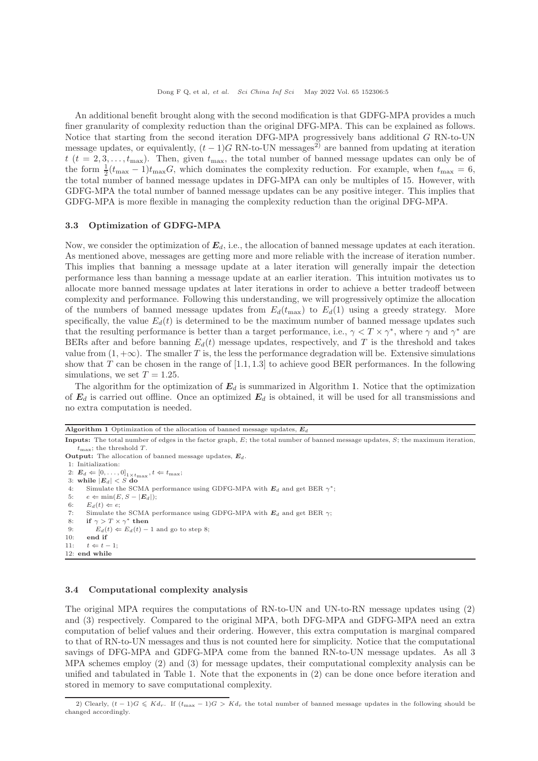An additional benefit brought along with the second modification is that GDFG-MPA provides a much finer granularity of complexity reduction than the original DFG-MPA. This can be explained as follows. Notice that starting from the second iteration DFG-MPA progressively bans additional G RN-to-UN message updates, or equivalently,  $(t-1)$ G RN-to-UN messages<sup>2)</sup> are banned from updating at iteration  $t (t = 2, 3, \ldots, t_{\text{max}})$ . Then, given  $t_{\text{max}}$ , the total number of banned message updates can only be of the form  $\frac{1}{2}(t_{\text{max}}-1)t_{\text{max}}G$ , which dominates the complexity reduction. For example, when  $t_{\text{max}}=6$ , the total number of banned message updates in DFG-MPA can only be multiples of 15. However, with GDFG-MPA the total number of banned message updates can be any positive integer. This implies that GDFG-MPA is more flexible in managing the complexity reduction than the original DFG-MPA.

#### 3.3 Optimization of GDFG-MPA

Now, we consider the optimization of  $E_d$ , i.e., the allocation of banned message updates at each iteration. As mentioned above, messages are getting more and more reliable with the increase of iteration number. This implies that banning a message update at a later iteration will generally impair the detection performance less than banning a message update at an earlier iteration. This intuition motivates us to allocate more banned message updates at later iterations in order to achieve a better tradeoff between complexity and performance. Following this understanding, we will progressively optimize the allocation of the numbers of banned message updates from  $E_d(t_{\text{max}})$  to  $E_d(1)$  using a greedy strategy. More specifically, the value  $E_d(t)$  is determined to be the maximum number of banned message updates such that the resulting performance is better than a target performance, i.e.,  $\gamma < T \times \gamma^*$ , where  $\gamma$  and  $\gamma^*$  are BERs after and before banning  $E_d(t)$  message updates, respectively, and T is the threshold and takes value from  $(1, +\infty)$ . The smaller T is, the less the performance degradation will be. Extensive simulations show that  $T$  can be chosen in the range of  $[1.1, 1.3]$  to achieve good BER performances. In the following simulations, we set  $T = 1.25$ .

The algorithm for the optimization of  $E_d$  is summarized in Algorithm [1.](#page-4-0) Notice that the optimization of  $E_d$  is carried out offline. Once an optimized  $E_d$  is obtained, it will be used for all transmissions and no extra computation is needed.

<span id="page-4-0"></span>Algorithm 1 Optimization of the allocation of banned message updates,  $E_d$ 

```
Inputs: The total number of edges in the factor graph, E; the total number of banned message updates, S; the maximum iteration,
     t_{\text{max}}; the threshold T.
Output: The allocation of banned message updates, E_d.
1: Initialization:
 2: E_d \Leftarrow [0, \ldots, 0]_{1 \times t_{\text{max}}}, t \Leftarrow t_{\text{max}};<br>3: while |E_d| < S do
 4: Simulate the SCMA performance using GDFG-MPA with E_d and get BER \gamma^*;
 5: e \Leftarrow \min(E, S - |E_d|);<br>6: E_d(t) \Leftarrow e:
        E_d(t) \Leftarrow e;7: Simulate the SCMA performance using GDFG-MPA with E_d and get BER \gamma:
 8: if \gamma > T \times \gamma^* then
9: E_d(t) \Leftarrow E_d(t) - 1 and go to step 8;<br>10: end if
        end if
11: t \Leftarrow t - 1;12: end while
```
#### 3.4 Computational complexity analysis

The original MPA requires the computations of RN-to-UN and UN-to-RN message updates using (2) and (3) respectively. Compared to the original MPA, both DFG-MPA and GDFG-MPA need an extra computation of belief values and their ordering. However, this extra computation is marginal compared to that of RN-to-UN messages and thus is not counted here for simplicity. Notice that the computational savings of DFG-MPA and GDFG-MPA come from the banned RN-to-UN message updates. As all 3 MPA schemes employ (2) and (3) for message updates, their computational complexity analysis can be unified and tabulated in Table 1. Note that the exponents in (2) can be done once before iteration and stored in memory to save computational complexity.

<sup>2)</sup> Clearly,  $(t-1)G \leq K d_r$ . If  $(t_{\text{max}} - 1)G > K d_r$  the total number of banned message updates in the following should be changed accordingly.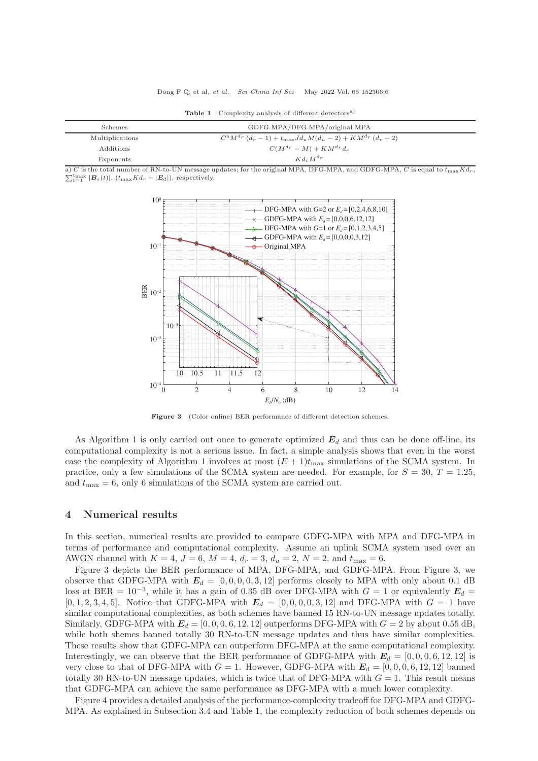| Schemes         | GDFG-MPA/DFG-MPA/original MPA                                          |
|-----------------|------------------------------------------------------------------------|
| Multiplications | $C^{a}M^{d_{r}}(d_{r}-1)+t_{\max}Jd_{u}M(d_{u}-2)+KM^{d_{r}}(d_{r}+2)$ |
| Additions       | $C(M^{d_r}-M)+KM^{d_r}d_r$                                             |
| Exponents       | $K d_r M^{d_r}$                                                        |

Table 1 Complexity analysis of different detectors<sup>a)</sup>

<span id="page-5-0"></span> $\sum_{t=1}^{t_{\text{max}}} |\boldsymbol{B}_{s}(t)|, (t_{\text{max}} K d_{r} - |\boldsymbol{E}_{d}|),$  respectively. a) C is the total number of RN-to-UN message updates; for the original MPA, DFG-MPA, and GDFG-MPA, C is equal to  $t_{\text{max}}Kd_r$ ,



Figure 3 (Color online) BER performance of different detection schemes.

As Algorithm 1 is only carried out once to generate optimized  $E_d$  and thus can be done off-line, its computational complexity is not a serious issue. In fact, a simple analysis shows that even in the worst case the complexity of Algorithm 1 involves at most  $(E+1)t_{\text{max}}$  simulations of the SCMA system. In practice, only a few simulations of the SCMA system are needed. For example, for  $S = 30$ ,  $T = 1.25$ , and  $t_{\text{max}} = 6$ , only 6 simulations of the SCMA system are carried out.

### 4 Numerical results

In this section, numerical results are provided to compare GDFG-MPA with MPA and DFG-MPA in terms of performance and computational complexity. Assume an uplink SCMA system used over an AWGN channel with  $K = 4$ ,  $J = 6$ ,  $M = 4$ ,  $d_r = 3$ ,  $d_u = 2$ ,  $N = 2$ , and  $t_{\text{max}} = 6$ .

Figure [3](#page-5-0) depicts the BER performance of MPA, DFG-MPA, and GDFG-MPA. From Figure [3,](#page-5-0) we observe that GDFG-MPA with  $E_d = [0, 0, 0, 0, 3, 12]$  performs closely to MPA with only about 0.1 dB loss at BER =  $10^{-3}$ , while it has a gain of 0.35 dB over DFG-MPA with  $G = 1$  or equivalently  $E_d =$ [0, 1, 2, 3, 4, 5]. Notice that GDFG-MPA with  $E_d = [0, 0, 0, 0, 3, 12]$  and DFG-MPA with  $G = 1$  have similar computational complexities, as both schemes have banned 15 RN-to-UN message updates totally. Similarly, GDFG-MPA with  $E_d = [0, 0, 0, 6, 12, 12]$  outperforms DFG-MPA with  $G = 2$  by about 0.55 dB, while both shemes banned totally 30 RN-to-UN message updates and thus have similar complexities. These results show that GDFG-MPA can outperform DFG-MPA at the same computational complexity. Interestingly, we can observe that the BER performance of GDFG-MPA with  $E_d = [0, 0, 0, 6, 12, 12]$  is very close to that of DFG-MPA with  $G = 1$ . However, GDFG-MPA with  $E_d = [0, 0, 0, 6, 12, 12]$  banned totally 30 RN-to-UN message updates, which is twice that of DFG-MPA with  $G = 1$ . This result means that GDFG-MPA can achieve the same performance as DFG-MPA with a much lower complexity.

Figure [4](#page-6-5) provides a detailed analysis of the performance-complexity tradeoff for DFG-MPA and GDFG-MPA. As explained in Subsection 3.4 and Table 1, the complexity reduction of both schemes depends on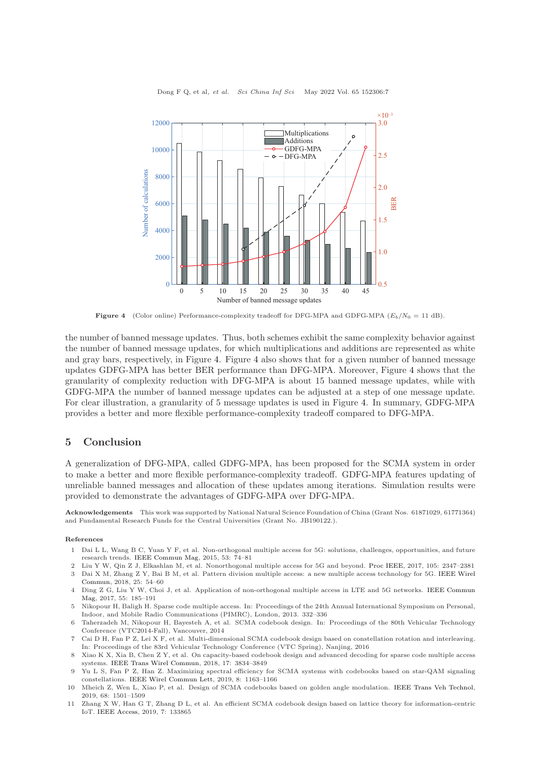<span id="page-6-5"></span>

Dong F Q, et al, et al. Sci China Inf Sci May 2022 Vol. 65 152306:7

**Figure 4** (Color online) Performance-complexity tradeoff for DFG-MPA and GDFG-MPA  $(E_b/N_0 = 11$  dB).

the number of banned message updates. Thus, both schemes exhibit the same complexity behavior against the number of banned message updates, for which multiplications and additions are represented as white and gray bars, respectively, in Figure [4.](#page-6-5) Figure [4](#page-6-5) also shows that for a given number of banned message updates GDFG-MPA has better BER performance than DFG-MPA. Moreover, Figure [4](#page-6-5) shows that the granularity of complexity reduction with DFG-MPA is about 15 banned message updates, while with GDFG-MPA the number of banned message updates can be adjusted at a step of one message update. For clear illustration, a granularity of 5 message updates is used in Figure [4.](#page-6-5) In summary, GDFG-MPA provides a better and more flexible performance-complexity tradeoff compared to DFG-MPA.

# 5 Conclusion

A generalization of DFG-MPA, called GDFG-MPA, has been proposed for the SCMA system in order to make a better and more flexible performance-complexity tradeoff. GDFG-MPA features updating of unreliable banned messages and allocation of these updates among iterations. Simulation results were provided to demonstrate the advantages of GDFG-MPA over DFG-MPA.

Acknowledgements This work was supported by National Natural Science Foundation of China (Grant Nos. 61871029, 61771364) and Fundamental Research Funds for the Central Universities (Grant No. JB190122.).

#### <span id="page-6-0"></span>References

- 1 Dai L L, Wang B C, Yuan Y F, et al. Non-orthogonal multiple access for 5G: solutions, challenges, opportunities, and future research trends. [IEEE Commun Mag,](https://doi.org/10.1109/MCOM.2015.7263349) 2015, 53: 74–81
- 2 Liu Y W, Qin Z J, Elkashlan M, et al. Nonorthogonal multiple access for 5G and beyond. [Proc IEEE,](https://doi.org/10.1109/JPROC.2017.2768666) 2017, 105: 2347–2381 3 Dai X M[, Zhang Z Y, Bai B M, et al. Pattern division multiple access: a new multiple access technology for 5G.](https://doi.org/10.1109/MWC.2018.1700084) IEEE Wirel Commun, 2018, 25: 54–60
- <span id="page-6-1"></span>4 Ding Z G, Liu Y W, Choi J, et al. Application of non-orthogonal multiple access in LTE and 5G networks. IEEE Commun Mag, 2017, 55: 185–191
- <span id="page-6-2"></span>5 Nikopour H, Baligh H. Sparse code multiple access. In: Proceedings of the 24th Annual International Symposium on Personal, Indoor, and Mobile Radio Communications (PIMRC), London, 2013. 332–336
- <span id="page-6-3"></span>6 Taherzadeh M, Nikopour H, Bayesteh A, et al. SCMA codebook design. In: Proceedings of the 80th Vehicular Technology Conference (VTC2014-Fall), Vancouver, 2014
- 7 Cai D H, Fan P Z, Lei X F, et al. Multi-dimensional SCMA codebook design based on constellation rotation and interleaving. In: Proceedings of the 83rd Vehicular Technology Conference (VTC Spring), Nanjing, 2016
- 8 Xiao K X, Xia B, Chen Z Y, et al. On capacity-based codebook design and advanced decoding for sparse code multiple access systems. [IEEE Trans Wirel Commun,](https://doi.org/10.1109/TWC.2018.2816929) 2018, 17: 3834–3849
- 9 Yu L S, Fan P Z, Han Z. Maximizing spectral efficiency for SCMA systems with codebooks based on star-QAM signaling constellations. [IEEE Wirel Commun Lett,](https://doi.org/10.1109/LWC.2019.2909913) 2019, 8: 1163–1166
- 10 Mheich Z, Wen L, Xiao P, et al. Design of SCMA codebooks based on golden angle modulation. [IEEE Trans Veh Technol,](https://doi.org/10.1109/TVT.2018.2886953) 2019, 68: 1501–1509
- <span id="page-6-4"></span>11 Zhang X W, Han G T, Zhang D L, et al. An efficient SCMA codebook design based on lattice theory for information-centric IoT. [IEEE Access,](https://doi.org/10.1109/ACCESS.2019.2938637) 2019, 7: 133865